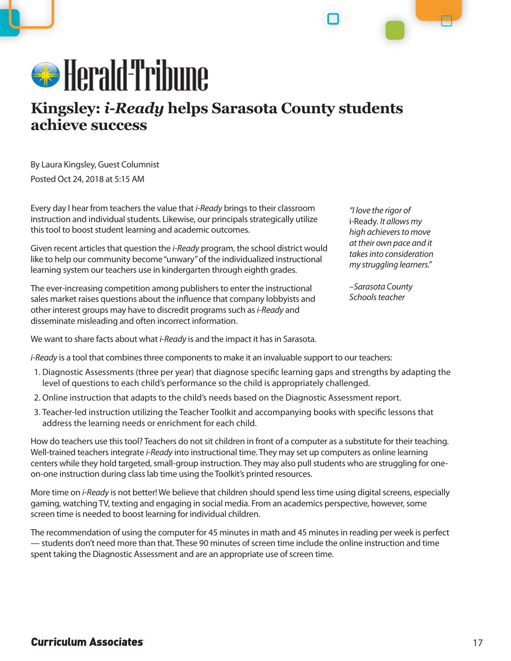

## **Kingsley:** *i-Ready* **helps Sarasota County students achieve success**

By Laura Kingsley, Guest Columnist Posted Oct 24, 2018 at 5:15 AM

Every day I hear from teachers the value that *i-Ready* brings to their classroom instruction and individual students. Likewise, our principals strategically utilize this tool to boost student learning and academic outcomes.

Given recent articles that question the *i-Ready* program, the school district would like to help our community become "unwary" of the individualized instructional learning system our teachers use in kindergarten through eighth grades.

*"I love the rigor of*  i-Ready*. It allows my high achievers to move at their own pace and it takes into consideration my struggling learners."* 

*–Sarasota County Schools teacher*

The ever-increasing competition among publishers to enter the instructional sales market raises questions about the influence that company lobbyists and other interest groups may have to discredit programs such as *i-Ready* and disseminate misleading and often incorrect information.

We want to share facts about what *i-Ready* is and the impact it has in Sarasota.

*i-Ready* is a tool that combines three components to make it an invaluable support to our teachers:

- 1. Diagnostic Assessments (three per year) that diagnose specific learning gaps and strengths by adapting the level of questions to each child's performance so the child is appropriately challenged.
- 2. Online instruction that adapts to the child's needs based on the Diagnostic Assessment report.
- 3. Teacher-led instruction utilizing the Teacher Toolkit and accompanying books with specific lessons that address the learning needs or enrichment for each child.

How do teachers use this tool? Teachers do not sit children in front of a computer as a substitute for their teaching. Well-trained teachers integrate *i-Ready* into instructional time. They may set up computers as online learning centers while they hold targeted, small-group instruction. They may also pull students who are struggling for oneon-one instruction during class lab time using the Toolkit's printed resources.

More time on *i-Ready* is not better! We believe that children should spend less time using digital screens, especially gaming, watching TV, texting and engaging in social media. From an academics perspective, however, some screen time is needed to boost learning for individual children.

The recommendation of using the computer for 45 minutes in math and 45 minutes in reading per week is perfect — students don't need more than that. These 90 minutes of screen time include the online instruction and time spent taking the Diagnostic Assessment and are an appropriate use of screen time.